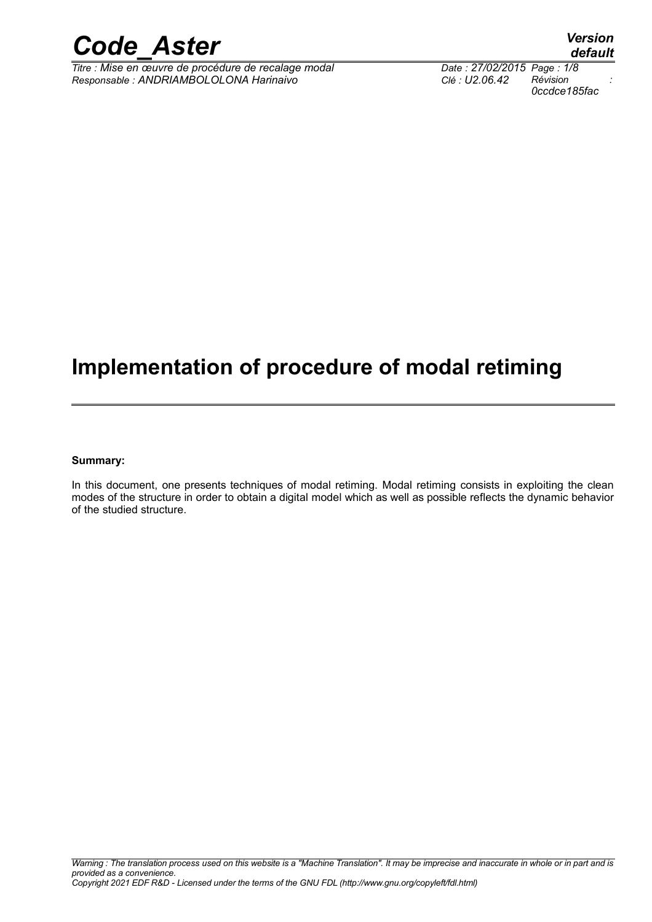

*Titre : Mise en œuvre de procédure de recalage modal Date : 27/02/2015 Page : 1/8 Responsable : ANDRIAMBOLOLONA Harinaivo Clé : U2.06.42 Révision :*

### **Implementation of procedure of modal retiming**

#### **Summary:**

In this document, one presents techniques of modal retiming. Modal retiming consists in exploiting the clean modes of the structure in order to obtain a digital model which as well as possible reflects the dynamic behavior of the studied structure.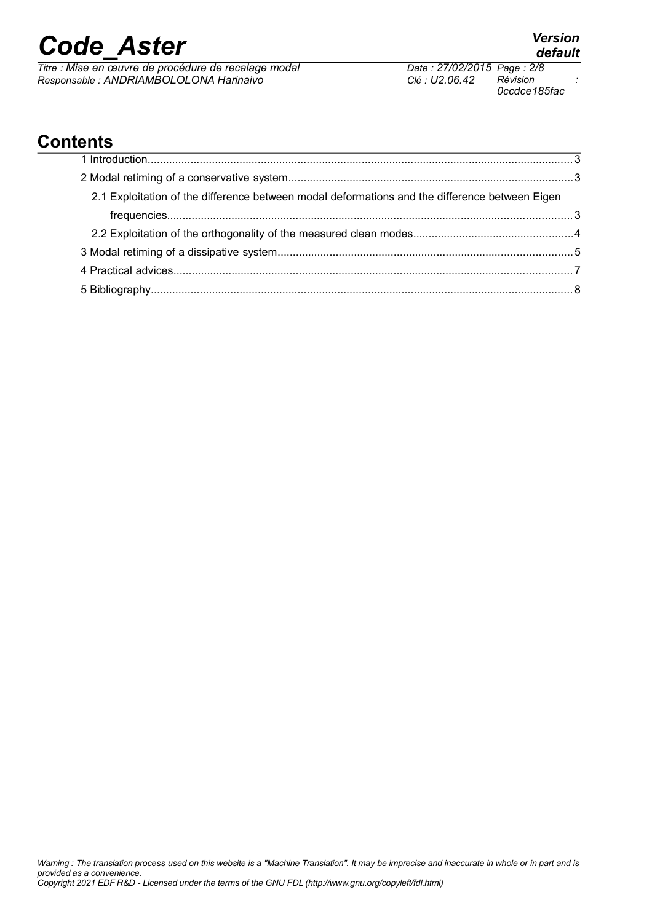*Titre : Mise en œuvre de procédure de recalage modal Date : 27/02/2015 Page : 2/8 Responsable : ANDRIAMBOLOLONA Harinaivo Clé : U2.06.42 Révision :*

*0ccdce185fac*

### **Contents**

| 2.1 Exploitation of the difference between modal deformations and the difference between Eigen |  |
|------------------------------------------------------------------------------------------------|--|
|                                                                                                |  |
|                                                                                                |  |
|                                                                                                |  |
|                                                                                                |  |
|                                                                                                |  |
|                                                                                                |  |
|                                                                                                |  |
|                                                                                                |  |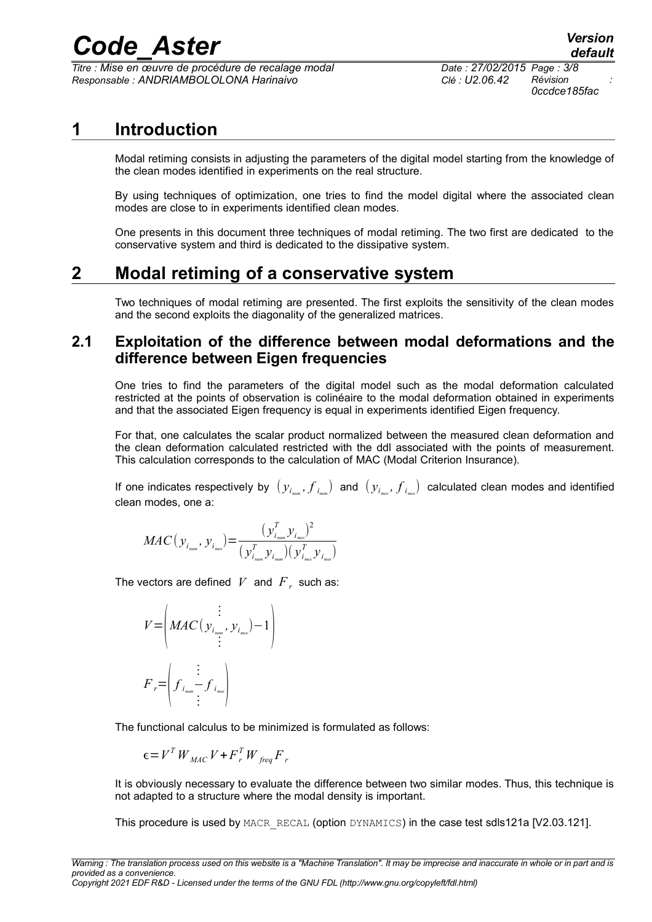*Titre : Mise en œuvre de procédure de recalage modal Date : 27/02/2015 Page : 3/8 Responsable : ANDRIAMBOLOLONA Harinaivo Clé : U2.06.42 Révision :*

*0ccdce185fac*

### **1 Introduction**

<span id="page-2-2"></span>Modal retiming consists in adjusting the parameters of the digital model starting from the knowledge of the clean modes identified in experiments on the real structure.

By using techniques of optimization, one tries to find the model digital where the associated clean modes are close to in experiments identified clean modes.

One presents in this document three techniques of modal retiming. The two first are dedicated to the conservative system and third is dedicated to the dissipative system.

### **2 Modal retiming of a conservative system**

<span id="page-2-1"></span><span id="page-2-0"></span>Two techniques of modal retiming are presented. The first exploits the sensitivity of the clean modes and the second exploits the diagonality of the generalized matrices.

#### **2.1 Exploitation of the difference between modal deformations and the difference between Eigen frequencies**

One tries to find the parameters of the digital model such as the modal deformation calculated restricted at the points of observation is colinéaire to the modal deformation obtained in experiments and that the associated Eigen frequency is equal in experiments identified Eigen frequency.

For that, one calculates the scalar product normalized between the measured clean deformation and the clean deformation calculated restricted with the ddl associated with the points of measurement. This calculation corresponds to the calculation of MAC (Modal Criterion Insurance).

If one indicates respectively by  $\;(y_{_i_{\sf min}},f_{_{i_{\sf min}}})\;$  and  $\;(y_{_{i_{\sf max}}},f_{_{i_{\sf max}}})\;$  calculated clean modes and identified clean modes, one a:

$$
MAC(y_{i_{num}}, y_{i_{max}}) = \frac{(y_{i_{num}}^T y_{i_{max}})^2}{(y_{i_{num}}^T y_{i_{num}})(y_{i_{max}}^T y_{i_{max}})}
$$

The vectors are defined  $|V|$  and  $|F|_r$  such as:

$$
V = \left( MAC(y_{i_{num}}, y_{i_{max}}) - 1 \right)
$$
  

$$
F_r = \left( f_{i_{num}} \left( \frac{1}{1 - \sum_{i_{max}}^r f_{i_{max}}} \right) \right)
$$

The functional calculus to be minimized is formulated as follows:

$$
\epsilon = V^T W_{MAC} V + F^T_{r} W_{freq} F_{r}
$$

It is obviously necessary to evaluate the difference between two similar modes. Thus, this technique is not adapted to a structure where the modal density is important.

This procedure is used by MACR\_RECAL (option DYNAMICS) in the case test sdls121a [V2.03.121].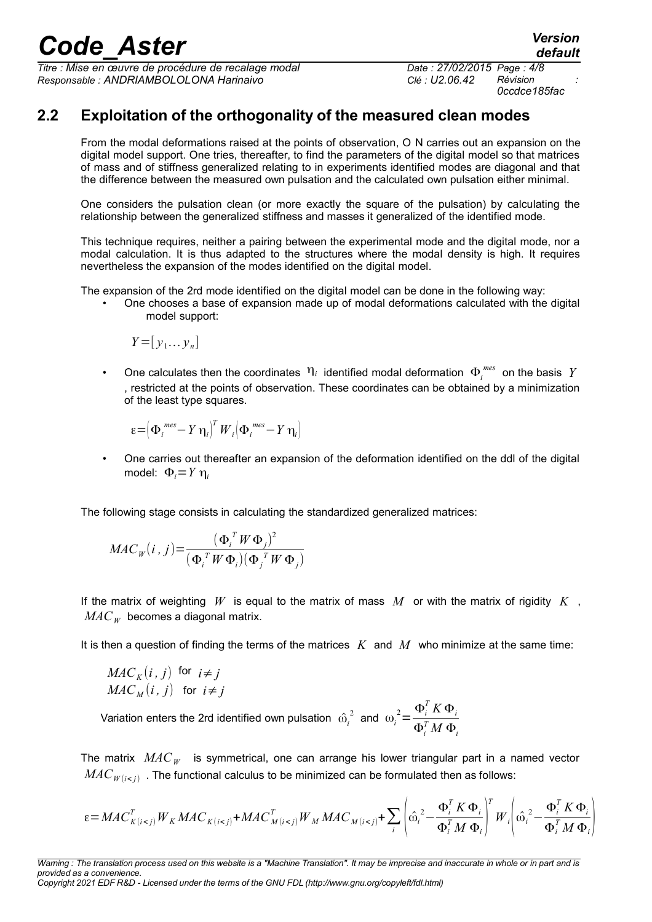*Titre : Mise en œuvre de procédure de recalage modal Date : 27/02/2015 Page : 4/8 Responsable : ANDRIAMBOLOLONA Harinaivo Clé : U2.06.42 Révision :*

*0ccdce185fac*

#### **2.2 Exploitation of the orthogonality of the measured clean modes**

<span id="page-3-0"></span>From the modal deformations raised at the points of observation, O N carries out an expansion on the digital model support. One tries, thereafter, to find the parameters of the digital model so that matrices of mass and of stiffness generalized relating to in experiments identified modes are diagonal and that the difference between the measured own pulsation and the calculated own pulsation either minimal.

One considers the pulsation clean (or more exactly the square of the pulsation) by calculating the relationship between the generalized stiffness and masses it generalized of the identified mode.

This technique requires, neither a pairing between the experimental mode and the digital mode, nor a modal calculation. It is thus adapted to the structures where the modal density is high. It requires nevertheless the expansion of the modes identified on the digital model.

The expansion of the 2rd mode identified on the digital model can be done in the following way:

• One chooses a base of expansion made up of modal deformations calculated with the digital model support:

$$
Y = [y_1 \dots y_n]
$$

• One calculates then the coordinates  $\eta_i$  identified modal deformation  $\Phi_i^{mes}$  on the basis  $Y$ , restricted at the points of observation. These coordinates can be obtained by a minimization of the least type squares.

$$
\varepsilon = \left(\Phi_i^{\text{ mes}} - Y\,\eta_i\right)^T W_i \left(\Phi_i^{\text{ mes}} - Y\,\eta_i\right)
$$

• One carries out thereafter an expansion of the deformation identified on the ddl of the digital model: Φ*i*=*Y* η*<sup>i</sup>*

The following stage consists in calculating the standardized generalized matrices:

$$
MAC_W(i, j) = \frac{(\boldsymbol{\Phi}_i^T \boldsymbol{W} \boldsymbol{\Phi}_j)^2}{(\boldsymbol{\Phi}_i^T \boldsymbol{W} \boldsymbol{\Phi}_i) (\boldsymbol{\Phi}_j^T \boldsymbol{W} \boldsymbol{\Phi}_j)}
$$

If the matrix of weighting  $W$  is equal to the matrix of mass  $M$  or with the matrix of rigidity  $K$ ,  $MAC<sub>w</sub>$  becomes a diagonal matrix.

It is then a question of finding the terms of the matrices *K* and *M* who minimize at the same time:

$$
MAC_K(i, j) \text{ for } i \neq j
$$
  

$$
MAC_M(i, j) \text{ for } i \neq j
$$

Variation enters the 2rd identified own pulsation  $\hat{\omega}_i$ <sup>2</sup> and  $ω_i^2 = \frac{Φ_i^T K Φ_i}{σ_i^T M σ_i^T}$  $\Phi_i^T M \, \Phi_i$ 

The matrix *MAC<sub>W</sub>* is symmetrical, one can arrange his lower triangular part in a named vector  $MAC_{W(i . The functional calculus to be minimized can be formulated then as follows:$ 

$$
\varepsilon = MAC_{K(i
$$

*Warning : The translation process used on this website is a "Machine Translation". It may be imprecise and inaccurate in whole or in part and is provided as a convenience. Copyright 2021 EDF R&D - Licensed under the terms of the GNU FDL (http://www.gnu.org/copyleft/fdl.html)*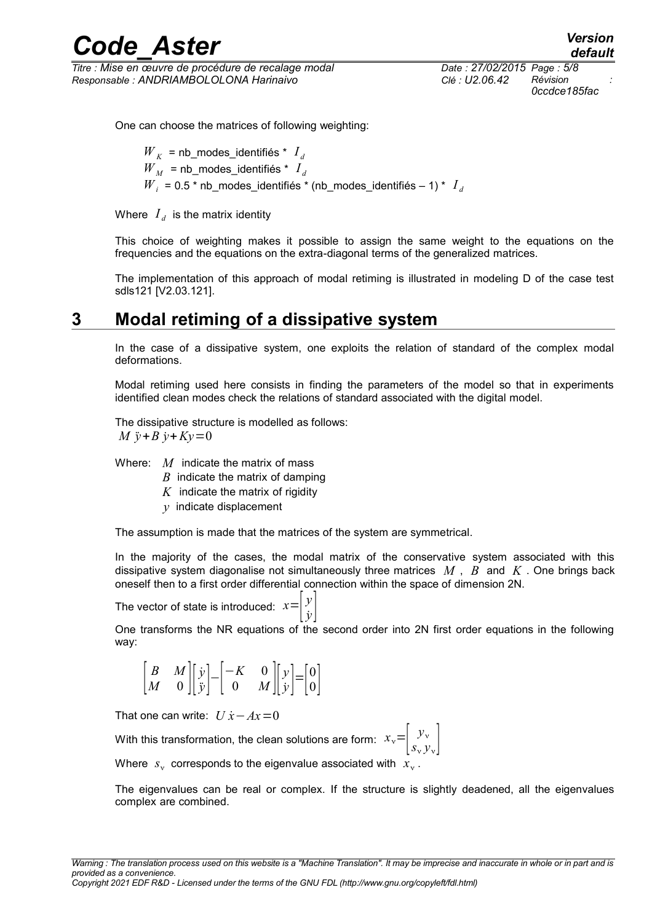*Titre : Mise en œuvre de procédure de recalage modal Date : 27/02/2015 Page : 5/8 Responsable : ANDRIAMBOLOLONA Harinaivo Clé : U2.06.42 Révision :*

*0ccdce185fac*

*default*

One can choose the matrices of following weighting:

 $W_K$  = nb\_modes\_identifiés \*  $I_d$  $\boldsymbol{W}_M$  = nb\_modes\_identifiés \*  $\boldsymbol{I}_d$  ${W}_{i}$  = 0.5 \* nb\_modes\_identifiés \* (nb\_modes\_identifiés – 1) \*  $I_{d}$ 

Where  $\left|I_d\right|$  is the matrix identity

This choice of weighting makes it possible to assign the same weight to the equations on the frequencies and the equations on the extra-diagonal terms of the generalized matrices.

The implementation of this approach of modal retiming is illustrated in modeling D of the case test sdls121 [V2.03.121].

### **3 Modal retiming of a dissipative system**

<span id="page-4-0"></span>In the case of a dissipative system, one exploits the relation of standard of the complex modal deformations.

Modal retiming used here consists in finding the parameters of the model so that in experiments identified clean modes check the relations of standard associated with the digital model.

The dissipative structure is modelled as follows: *M*  $\ddot{v}$  + *B*  $\dot{v}$  + *K* $v$  = 0

Where: *M* indicate the matrix of mass

- *B* indicate the matrix of damping
- *K* indicate the matrix of rigidity
- *y* indicate displacement

The assumption is made that the matrices of the system are symmetrical.

In the majority of the cases, the modal matrix of the conservative system associated with this dissipative system diagonalise not simultaneously three matrices *M* , *B* and *K* . One brings back oneself then to a first order differential connection within the space of dimension 2N.

The vector of state is introduced:  $x = \begin{bmatrix} y \\ y \end{bmatrix}$  $\left[\dot{y}\right]$ 

One transforms the NR equations of the second order into 2N first order equations in the following way:

$$
\begin{bmatrix} B & M \\ M & 0 \end{bmatrix} \begin{bmatrix} \dot{y} \\ \ddot{y} \end{bmatrix} - \begin{bmatrix} -K & 0 \\ 0 & M \end{bmatrix} \begin{bmatrix} y \\ \dot{y} \end{bmatrix} = \begin{bmatrix} 0 \\ 0 \end{bmatrix}
$$

That one can write:  $U \dot{x} - Ax = 0$ 

With this transformation, the clean solutions are form:  $\left| \begin{array}{ll} x_{\rm v} = \begin{array}{ll} y_{\rm v} \ s_{\rm v} \end{array} \right.$  $s_v y_v$ 

Where  $\langle s_{\rm v}\rangle$  corresponds to the eigenvalue associated with  $\langle x_{\rm v}\rangle$ .

The eigenvalues can be real or complex. If the structure is slightly deadened, all the eigenvalues complex are combined.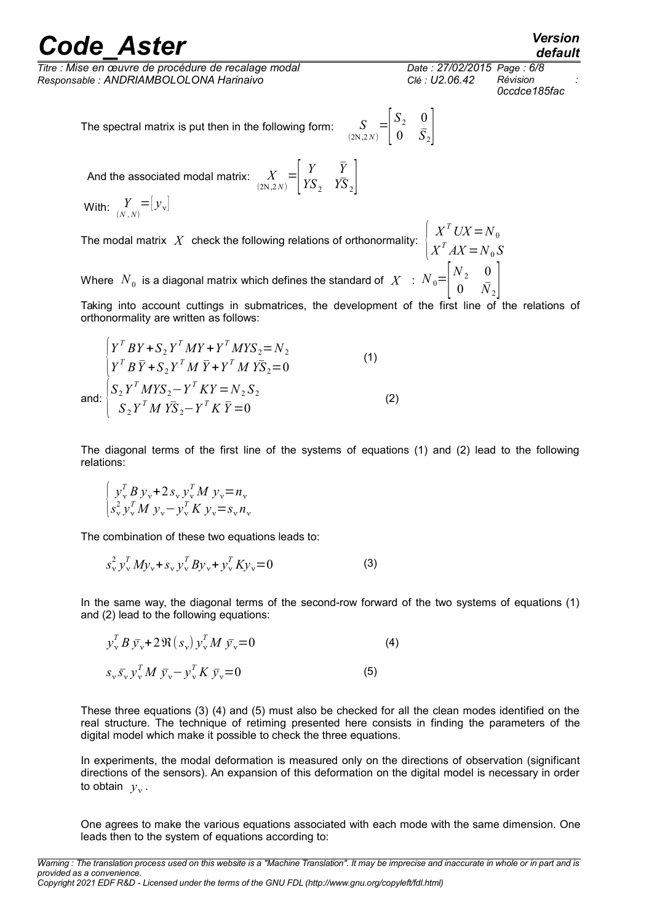*Titre : Mise en œuvre de procédure de recalage modal Date : 27/02/2015 Page : 6/8 Responsable : ANDRIAMBOLOLONA Harinaivo Clé : U2.06.42 Révision :*

*0ccdce185fac*

 $X^T U X = N_0$ 

*default*

The spectral matrix is put then in the following form:

And the associated modal matrix:  $\frac{X}{(2N,2N)}$  $=$   $\vert$   $\vert$ *Y Y*̄  $YS_2$   $\overline{YS}_2$ 

With:  $\sum\limits_{(N,\,N)} = \, \, \bigl| y_{\text{v}} \bigr|$ 

The modal matrix  $|X|$  check the following relations of orthonormality:  $\begin{bmatrix} 1 & 1 \\ 1 & 1 \end{bmatrix}$  $X^T A X = N_0 S$ 

Where  $\left. N_{\,0}\right.$  is a diagonal matrix which defines the standard of  $\left. X_{\,}\right.$   $:\,\left. N_{\,0} \!\!=\!\!\right[ {}^{2}{}_{1}$  $N_{2}$  0  $0 \tilde{N}_2$ 

Taking into account cuttings in submatrices, the development of the first line of the relations of orthonormality are written as follows:

 $(2N, 2N)$ 

 $=$  $\Big| \Big|$ 

 $S_2$  0  $0 \quad \bar{S}_2$ 

$$
\begin{cases}\nY^T BY + S_2 Y^T MY + Y^T MYS_2 = N_2 \\
Y^T B \bar{Y} + S_2 Y^T M \bar{Y} + Y^T M Y \bar{S}_2 = 0 \\
\text{and:} \begin{cases}\nS_2 Y^T M Y S_2 - Y^T K Y = N_2 S_2 \\
S_2 Y^T M Y \bar{S}_2 - Y^T K \bar{Y} = 0\n\end{cases}\n\end{cases}
$$
\n(1)

an

The diagonal terms of the first line of the systems of equations (1) and (2) lead to the following relations:

$$
\begin{cases} y_{\rm v}^T B y_{\rm v} + 2 s_{\rm v} y_{\rm v}^T M y_{\rm v} = n_{\rm v} \\ s_{\rm v}^2 y_{\rm v}^T M y_{\rm v} - y_{\rm v}^T K y_{\rm v} = s_{\rm v} n_{\rm v} \end{cases}
$$

The combination of these two equations leads to:

$$
s_v^2 y_v^T M y_v + s_v y_v^T B y_v + y_v^T K y_v = 0
$$
 (3)

In the same way, the diagonal terms of the second-row forward of the two systems of equations (1) and (2) lead to the following equations:

$$
y_{\nu}^{T} B \bar{y}_{\nu} + 2 \Re (s_{\nu}) y_{\nu}^{T} M \bar{y}_{\nu} = 0
$$
\n
$$
s_{\nu} \bar{s}_{\nu} y_{\nu}^{T} M \bar{y}_{\nu} - y_{\nu}^{T} K \bar{y}_{\nu} = 0
$$
\n(4)

These three equations (3) (4) and (5) must also be checked for all the clean modes identified on the real structure. The technique of retiming presented here consists in finding the parameters of the digital model which make it possible to check the three equations.

In experiments, the modal deformation is measured only on the directions of observation (significant directions of the sensors). An expansion of this deformation on the digital model is necessary in order to obtain  $y_{\rm v}$ .

One agrees to make the various equations associated with each mode with the same dimension. One leads then to the system of equations according to: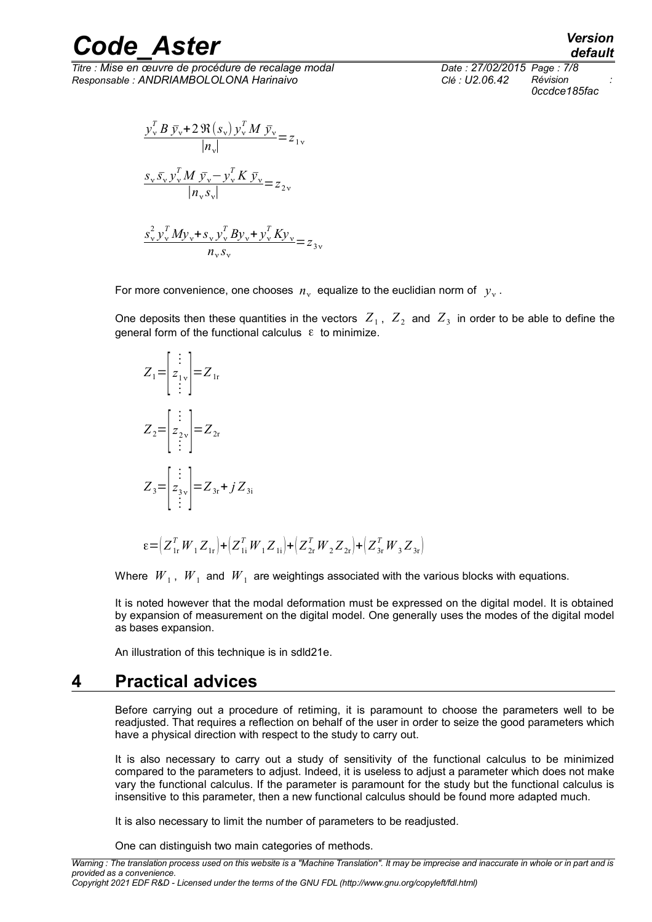*Titre : Mise en œuvre de procédure de recalage modal Date : 27/02/2015 Page : 7/8 Responsable : ANDRIAMBOLOLONA Harinaivo Clé : U2.06.42 Révision :*

*0ccdce185fac*

*default*

 $y_v^T B \bar{y}_v + 2 \Re(s_v) y_v^T M \bar{y}_v$  $\frac{\partial V(\mathcal{S}_{\nu})}{\partial V} = z_{1\nu}$  $s_v \bar{s_v} y_v^T M \bar{y_v} - y_v^T K \bar{y_v}$  $\frac{\partial u}{\partial x} \frac{\partial v}{\partial y} = z_{2v}$  $s_v^2 y_v^T M y_v + s_v y_v^T B y_v + y_v^T K y_v$ 

For more convenience, one chooses  $n_{\rm v}$  equalize to the euclidian norm of  $|y_{\rm v}|$ .

 $rac{\sqrt{y}\sqrt{y}}{h_y s_y}$   $rac{\sqrt{h_y h_y}}{h_y s_y}$   $= z_{3y}$ 

One deposits then these quantities in the vectors  $Z_1$ ,  $Z_2$  and  $Z_3$  in order to be able to define the general form of the functional calculus  $\epsilon$  to minimize.

$$
Z_1 = \begin{bmatrix} \vdots \\ z_{1v} \\ \vdots \end{bmatrix} = Z_{1r}
$$
  
\n
$$
Z_2 = \begin{bmatrix} \vdots \\ z_{2v} \\ \vdots \end{bmatrix} = Z_{2r}
$$
  
\n
$$
Z_3 = \begin{bmatrix} \vdots \\ z_{3v} \\ \vdots \end{bmatrix} = Z_{3r} + j Z_{3i}
$$

 $\varepsilon = (Z_{1r}^T W_1 Z_{1r}) + (Z_{1i}^T W_1 Z_{1i}) + (Z_{2r}^T W_2 Z_{2r}) + (Z_{3r}^T W_3 Z_{3r})$ 

Where  $\;{W}_{\,1}\;,\;W_{\,1}\;$  and  $\;W_{\,1}\;$  are weightings associated with the various blocks with equations.

It is noted however that the modal deformation must be expressed on the digital model. It is obtained by expansion of measurement on the digital model. One generally uses the modes of the digital model as bases expansion.

<span id="page-6-0"></span>An illustration of this technique is in sdld21e.

### **4 Practical advices**

Before carrying out a procedure of retiming, it is paramount to choose the parameters well to be readjusted. That requires a reflection on behalf of the user in order to seize the good parameters which have a physical direction with respect to the study to carry out.

It is also necessary to carry out a study of sensitivity of the functional calculus to be minimized compared to the parameters to adjust. Indeed, it is useless to adjust a parameter which does not make vary the functional calculus. If the parameter is paramount for the study but the functional calculus is insensitive to this parameter, then a new functional calculus should be found more adapted much.

It is also necessary to limit the number of parameters to be readjusted.

One can distinguish two main categories of methods.

*Warning : The translation process used on this website is a "Machine Translation". It may be imprecise and inaccurate in whole or in part and is provided as a convenience.*

*Copyright 2021 EDF R&D - Licensed under the terms of the GNU FDL (http://www.gnu.org/copyleft/fdl.html)*